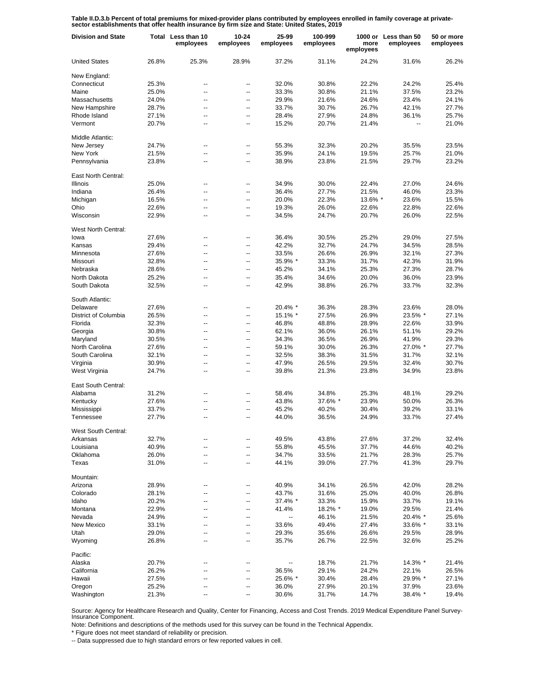Table II.D.3.b Percent of total premiums for mixed-provider plans contributed by employees enrolled in family coverage at private-<br>sector establishments that offer health insurance by firm size and State: United States, 20

| <b>Division and State</b> |       | Total Less than 10<br>employees | $10 - 24$<br>employees | 25-99<br>employees | 100-999<br>employees | more<br>employees | 1000 or Less than 50<br>employees | 50 or more<br>employees |
|---------------------------|-------|---------------------------------|------------------------|--------------------|----------------------|-------------------|-----------------------------------|-------------------------|
| <b>United States</b>      | 26.8% | 25.3%                           | 28.9%                  | 37.2%              | 31.1%                | 24.2%             | 31.6%                             | 26.2%                   |
| New England:              |       |                                 |                        |                    |                      |                   |                                   |                         |
| Connecticut               | 25.3% | --                              | --                     | 32.0%              | 30.8%                | 22.2%             | 24.2%                             | 25.4%                   |
| Maine                     | 25.0% | --                              | --                     | 33.3%              | 30.8%                | 21.1%             | 37.5%                             | 23.2%                   |
| Massachusetts             | 24.0% | ۵.                              | --                     | 29.9%              | 21.6%                | 24.6%             | 23.4%                             | 24.1%                   |
| New Hampshire             | 28.7% | --                              | --                     | 33.7%              | 30.7%                | 26.7%             | 42.1%                             | 27.7%                   |
| Rhode Island              | 27.1% | --                              | --                     | 28.4%              | 27.9%                | 24.8%             | 36.1%                             | 25.7%                   |
| Vermont                   | 20.7% | --                              | --                     | 15.2%              | 20.7%                | 21.4%             | --                                | 21.0%                   |
| Middle Atlantic:          |       |                                 |                        |                    |                      |                   |                                   |                         |
| New Jersev                | 24.7% | --                              | --                     | 55.3%              | 32.3%                | 20.2%             | 35.5%                             | 23.5%                   |
| New York                  | 21.5% | --                              | --                     | 35.9%              | 24.1%                | 19.5%             | 25.7%                             | 21.0%                   |
| Pennsylvania              | 23.8% | $\overline{a}$                  | --                     | 38.9%              | 23.8%                | 21.5%             | 29.7%                             | 23.2%                   |
| East North Central:       |       |                                 |                        |                    |                      |                   |                                   |                         |
| <b>Illinois</b>           | 25.0% | --                              | --                     | 34.9%              | 30.0%                | 22.4%             | 27.0%                             | 24.6%                   |
| Indiana                   | 26.4% | $\overline{a}$                  | --                     | 36.4%              | 27.7%                | 21.5%             | 46.0%                             | 23.3%                   |
| Michigan                  | 16.5% | --                              | $\overline{a}$         | 20.0%              | 22.3%                | 13.6% *           | 23.6%                             | 15.5%                   |
| Ohio                      | 22.6% | $\overline{a}$                  | --                     | 19.3%              | 26.0%                | 22.6%             | 22.8%                             | 22.6%                   |
| Wisconsin                 | 22.9% | --                              | --                     | 34.5%              | 24.7%                | 20.7%             | 26.0%                             | 22.5%                   |
| West North Central:       |       |                                 |                        |                    |                      |                   |                                   |                         |
| lowa                      | 27.6% | --                              | --                     | 36.4%              | 30.5%                | 25.2%             | 29.0%                             | 27.5%                   |
| Kansas                    | 29.4% | --                              | --                     | 42.2%              | 32.7%                | 24.7%             | 34.5%                             | 28.5%                   |
| Minnesota                 | 27.6% | --                              | --                     | 33.5%              | 26.6%                | 26.9%             | 32.1%                             | 27.3%                   |
| Missouri                  | 32.8% | --                              | --                     | 35.9% *            | 33.3%                | 31.7%             | 42.3%                             | 31.9%                   |
| Nebraska                  | 28.6% | --                              | --                     | 45.2%              | 34.1%                | 25.3%             | 27.3%                             | 28.7%                   |
| North Dakota              | 25.2% | --                              | --                     | 35.4%              | 34.6%                | 20.0%             | 36.0%                             | 23.9%                   |
| South Dakota              | 32.5% | --                              | --                     | 42.9%              | 38.8%                | 26.7%             | 33.7%                             | 32.3%                   |
| South Atlantic:           |       |                                 |                        |                    |                      |                   |                                   |                         |
| Delaware                  | 27.6% | --                              | --                     | 20.4% *            | 36.3%                | 28.3%             | 23.6%                             | 28.0%                   |
| District of Columbia      | 26.5% | $\overline{a}$                  | --                     | 15.1% *            | 27.5%                | 26.9%             | 23.5% *                           | 27.1%                   |
| Florida                   | 32.3% | --                              | --                     | 46.8%              | 48.8%                | 28.9%             | 22.6%                             | 33.9%                   |
| Georgia                   | 30.8% | $\overline{a}$                  | $\overline{a}$         | 62.1%              | 36.0%                | 26.1%             | 51.1%                             | 29.2%                   |
| Maryland                  | 30.5% | --                              | --                     | 34.3%              | 36.5%                | 26.9%             | 41.9%                             | 29.3%                   |
| North Carolina            | 27.6% | $\overline{a}$                  | --                     | 59.1%              | 30.0%                | 26.3%             | 27.0% *                           | 27.7%                   |
| South Carolina            | 32.1% | --                              | $\overline{a}$         | 32.5%              | 38.3%                | 31.5%             | 31.7%                             | 32.1%                   |
| Virginia                  | 30.9% | --                              | $\overline{a}$         | 47.9%              | 26.5%                | 29.5%             | 32.4%                             | 30.7%                   |
| West Virginia             | 24.7% | --                              | --                     | 39.8%              | 21.3%                | 23.8%             | 34.9%                             | 23.8%                   |
| East South Central:       |       |                                 |                        |                    |                      |                   |                                   |                         |
| Alabama                   | 31.2% | --                              | --                     | 58.4%              | 34.8%                | 25.3%             | 48.1%                             | 29.2%                   |
| Kentucky                  | 27.6% | --                              | $\overline{a}$         | 43.8%              | 37.6% *              | 23.9%             | 50.0%                             | 26.3%                   |
| Mississippi               | 33.7% | $\overline{a}$                  | $\overline{a}$         | 45.2%              | 40.2%                | 30.4%             | 39.2%                             | 33.1%                   |
| Tennessee                 | 27.7% | --                              | --                     | 44.0%              | 36.5%                | 24.9%             | 33.7%                             | 27.4%                   |
| West South Central:       |       |                                 |                        |                    |                      |                   |                                   |                         |
| Arkansas                  | 32.7% |                                 |                        | 49.5%              | 43.8%                | 27.6%             | 37.2%                             | 32.4%                   |
| Louisiana                 | 40.9% | ۵.                              | --                     | 55.8%              | 45.5%                | 37.7%             | 44.6%                             | 40.2%                   |
| Oklahoma                  | 26.0% | --                              | --                     | 34.7%              | 33.5%                | 21.7%             | 28.3%                             | 25.7%                   |
| Texas                     | 31.0% | --                              | --                     | 44.1%              | 39.0%                | 27.7%             | 41.3%                             | 29.7%                   |
| Mountain:                 |       |                                 |                        |                    |                      |                   |                                   |                         |
| Arizona                   | 28.9% |                                 | --                     | 40.9%              | 34.1%                | 26.5%             | 42.0%                             | 28.2%                   |
| Colorado                  | 28.1% | --                              | --                     | 43.7%              | 31.6%                | 25.0%             | 40.0%                             | 26.8%                   |
| Idaho                     | 20.2% | $\overline{a}$                  | --                     | 37.4% *            | 33.3%                | 15.9%             | 33.7%                             | 19.1%                   |
| Montana                   | 22.9% | --                              | ⊷                      | 41.4%              | 18.2% *              | 19.0%             | 29.5%                             | 21.4%                   |
| Nevada                    | 24.9% | $\overline{a}$                  | $\overline{a}$         |                    | 46.1%                | 21.5%             | 20.4% *                           | 25.6%                   |
| New Mexico                | 33.1% | --                              | --                     | 33.6%              | 49.4%                | 27.4%             | 33.6% *                           | 33.1%                   |
| Utah                      | 29.0% | --                              | --                     | 29.3%              | 35.6%                | 26.6%             | 29.5%                             | 28.9%                   |
| Wyoming                   | 26.8% | --                              | --                     | 35.7%              | 26.7%                | 22.5%             | 32.6%                             | 25.2%                   |
| Pacific:                  |       |                                 |                        |                    |                      |                   |                                   |                         |
| Alaska                    | 20.7% | --                              | --                     |                    | 18.7%                | 21.7%             | 14.3% *                           | 21.4%                   |
| California                | 26.2% | --                              | $\overline{a}$         | 36.5%              | 29.1%                | 24.2%             | 22.1%                             | 26.5%                   |
| Hawaii                    | 27.5% | --                              | --                     | 25.6% *            | 30.4%                | 28.4%             | 29.9% *                           | 27.1%                   |
| Oregon                    | 25.2% | --                              | --                     | 36.0%              | 27.9%                | 20.1%             | 37.9%                             | 23.6%                   |
| Washington                | 21.3% | --                              | --                     | 30.6%              | 31.7%                | 14.7%             | 38.4% *                           | 19.4%                   |

Source: Agency for Healthcare Research and Quality, Center for Financing, Access and Cost Trends. 2019 Medical Expenditure Panel Survey-Insurance Component.

Note: Definitions and descriptions of the methods used for this survey can be found in the Technical Appendix.

\* Figure does not meet standard of reliability or precision.

-- Data suppressed due to high standard errors or few reported values in cell.